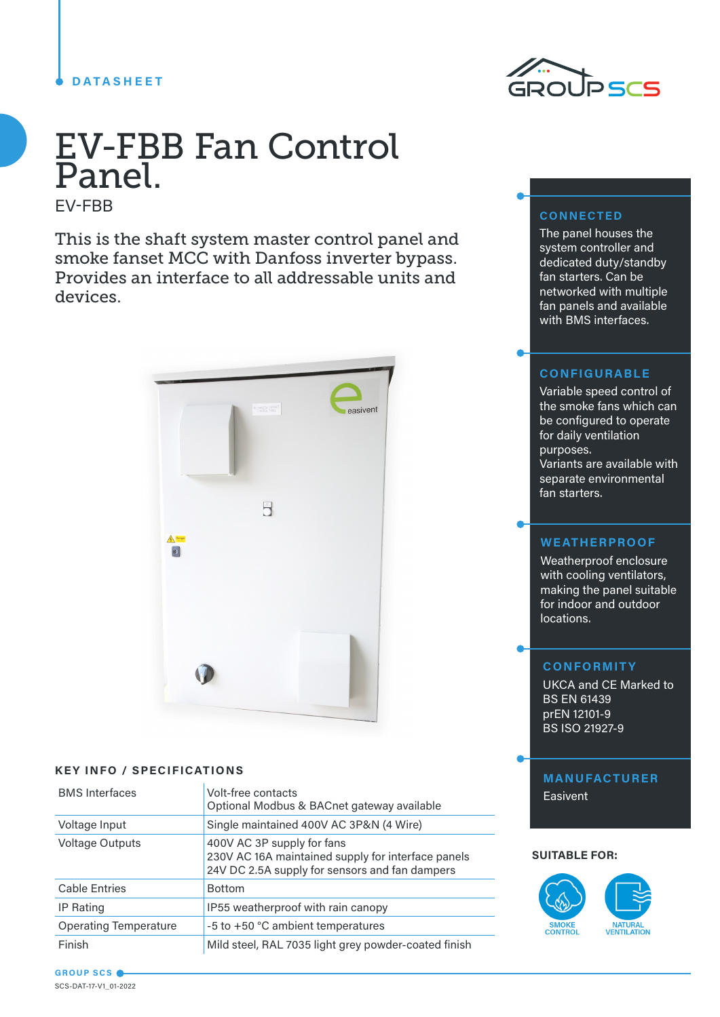## **DATASHEET**



# EV-FBB Fan Control Panel.

EV-FBB

This is the shaft system master control panel and smoke fanset MCC with Danfoss inverter bypass. Provides an interface to all addressable units and devices.



## **KEY INFO / SPECIFICATIONS**

| <b>BMS</b> Interfaces        | Volt-free contacts<br>Optional Modbus & BACnet gateway available                                                                   |
|------------------------------|------------------------------------------------------------------------------------------------------------------------------------|
| Voltage Input                | Single maintained 400V AC 3P&N (4 Wire)                                                                                            |
| <b>Voltage Outputs</b>       | 400V AC 3P supply for fans<br>230V AC 16A maintained supply for interface panels<br>24V DC 2.5A supply for sensors and fan dampers |
| <b>Cable Entries</b>         | <b>Bottom</b>                                                                                                                      |
| <b>IP Rating</b>             | IP55 weatherproof with rain canopy                                                                                                 |
| <b>Operating Temperature</b> | -5 to +50 °C ambient temperatures                                                                                                  |
| Finish                       | Mild steel, RAL 7035 light grey powder-coated finish                                                                               |

# **CONNECTED**

The panel houses the system controller and dedicated duty/standby fan starters. Can be networked with multiple fan panels and available with BMS interfaces.

## **CONFIGURABLE**

Variable speed control of the smoke fans which can be configured to operate for daily ventilation purposes. Variants are available with separate environmental fan starters.

## **WEATHERPROOF**

Weatherproof enclosure with cooling ventilators, making the panel suitable for indoor and outdoor locations.

## **CONFORMITY**

UKCA and CE Marked to BS EN 61439 prEN 12101-9 BS ISO 21927-9

**MANUFACTURER Easivent** 

#### **SUITABLE FOR:**



**GROUP SCS** SCS-DAT-17-V1\_01-2022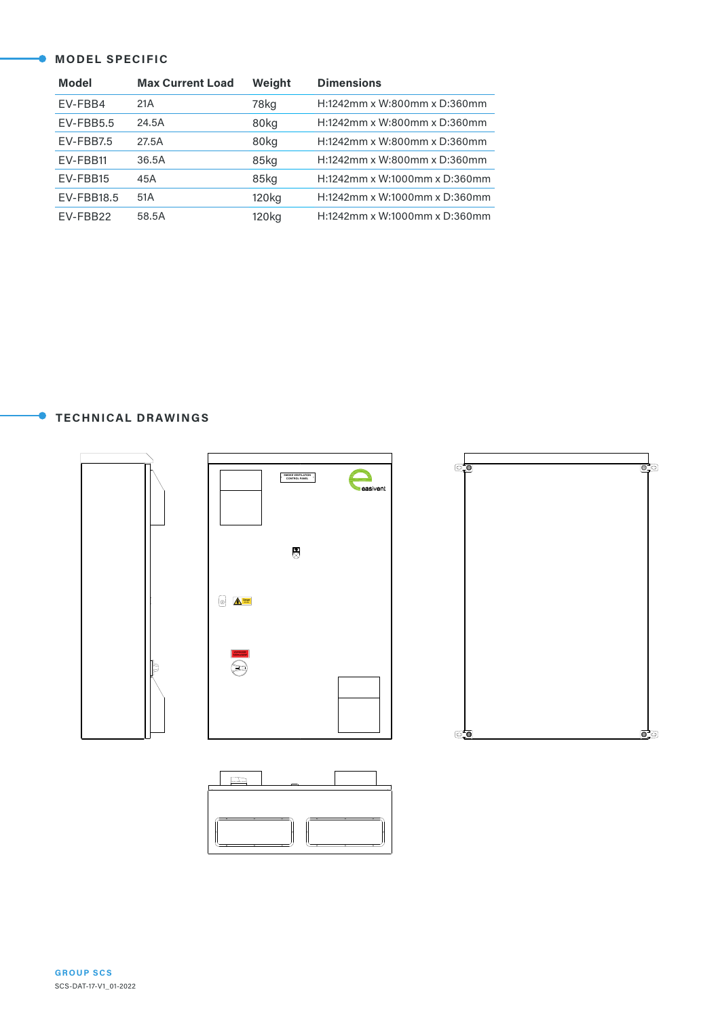#### **MODEL SPECIFIC**

| <b>Model</b> | <b>Max Current Load</b> | Weight            | <b>Dimensions</b>             |
|--------------|-------------------------|-------------------|-------------------------------|
| EV-FBB4      | 21A                     | 78kg              | H:1242mm x W:800mm x D:360mm  |
| $EV$ -FBB5.5 | 24.5A                   | 80kg              | H:1242mm x W:800mm x D:360mm  |
| EV-FBB7.5    | 27.5A                   | 80kg              | H:1242mm x W:800mm x D:360mm  |
| EV-FBB11     | 36.5A                   | 85kg              | H:1242mm x W:800mm x D:360mm  |
| EV-FBB15     | 45A                     | 85kg              | H:1242mm x W:1000mm x D:360mm |
| EV-FBB18.5   | 51A                     | 120 <sub>kg</sub> | H:1242mm x W:1000mm x D:360mm |
| EV-FBB22     | 58.5A                   | 120 <sub>kg</sub> | H:1242mm x W:1000mm x D:360mm |

**TECHNICAL DRAWINGS**